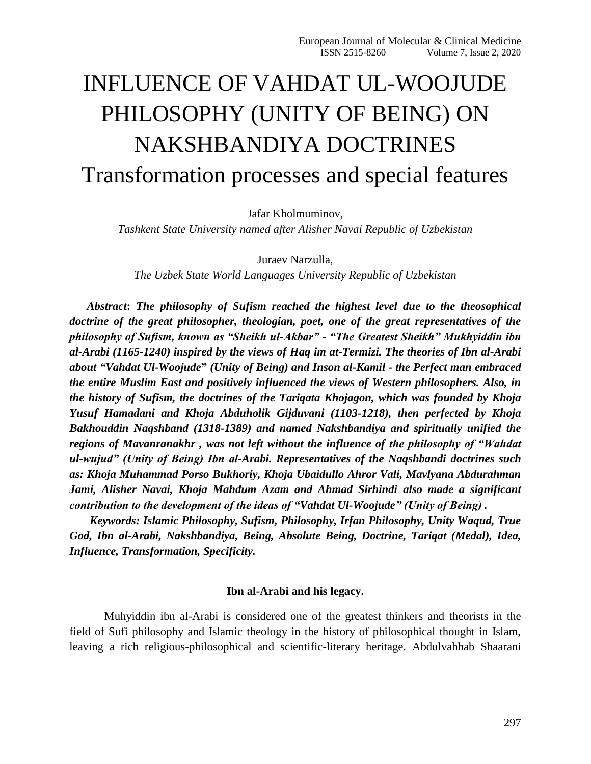# INFLUENCE OF VAHDAT UL-WOOJUDE PHILOSOPHY (UNITY OF BEING) ON NAKSHBANDIYA DOCTRINES Transformation processes and special features

Jafar Kholmuminov,

*Tashkent State University named after Alisher Navai Republic of Uzbekistan*

Juraev Narzulla,

*The Uzbek State World Languages University Republic of Uzbekistan*

*Abstract***:** *The philosophy of Sufism reached the highest level due to the theosophical doctrine of the great philosopher, theologian, poet, one of the great representatives of the philosophy of Sufism, known as "Sheikh ul-Akbar" - "The Greatest Sheikh" Mukhyiddin ibn al-Arabi (1165-1240) inspired by the views of Haq im at-Termizi. The theories of Ibn al-Arabi about "Vahdat Ul-Woojude***"** *(Unity of Being) and Inson al-Kamil - the Perfect man embraced the entire Muslim East and positively influenced the views of Western philosophers. Also, in the history of Sufism, the doctrines of the Tariqata Khojagon, which was founded by Khoja Yusuf Hamadani and Khoja Abduholik Gijduvani (1103-1218), then perfected by Khoja Bakhouddin Naqshband (1318-1389) and named Nakshbandiya and spiritually unified the regions of Mavanranakhr , was not left without the influence of the philosophy of "Wahdat ul-wujud" (Unity of Being) Ibn al-Arabi. Representatives of the Naqshbandi doctrines such as: Khoja Muhammad Porso Bukhoriy, Khoja Ubaidullo Ahror Vali, Mavlyana Abdurahman Jami, Alisher Navai, Khoja Mahdum Azam and Ahmad Sirhindi also made a significant contribution to the development of the ideas of "Vahdat Ul-Woojude" (Unity of Being) .*

 *Keywords: Islamic Philosophy, Sufism, Philosophy, Irfan Philosophy, Unity Waqud, True God, Ibn al-Arabi, Nakshbandiya, Being, Absolute Being, Doctrine, Tariqat (Medal), Idea, Influence, Transformation, Specificity.*

## **Ibn al-Arabi and his legacy.**

Muhyiddin ibn al-Arabi is considered one of the greatest thinkers and theorists in the field of Sufi philosophy and Islamic theology in the history of philosophical thought in Islam, leaving a rich religious-philosophical and scientific-literary heritage. Abdulvahhab Shaarani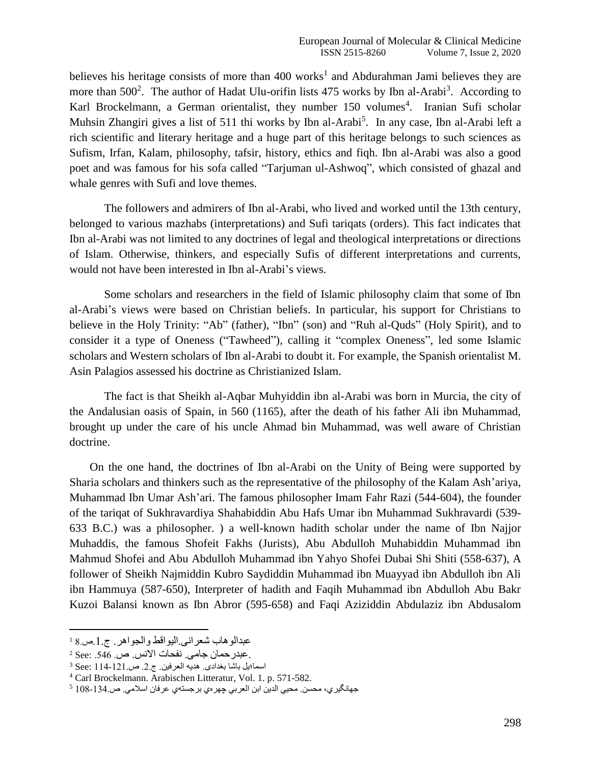believes his heritage consists of more than  $400$  works<sup>1</sup> and Abdurahman Jami believes they are more than 500<sup>2</sup>. The author of Hadat Ulu-orifin lists 475 works by Ibn al-Arabi<sup>3</sup>. According to Karl Brockelmann, a German orientalist, they number 150 volumes<sup>4</sup>. Iranian Sufi scholar Muhsin Zhangiri gives a list of 511 thi works by Ibn al-Arabi<sup>5</sup>. In any case, Ibn al-Arabi left a rich scientific and literary heritage and a huge part of this heritage belongs to such sciences as Sufism, Irfan, Kalam, philosophy, tafsir, history, ethics and fiqh. Ibn al-Arabi was also a good poet and was famous for his sofa called "Tarjuman ul-Ashwoq", which consisted of ghazal and whale genres with Sufi and love themes.

The followers and admirers of Ibn al-Arabi, who lived and worked until the 13th century, belonged to various mazhabs (interpretations) and Sufi tariqats (orders). This fact indicates that Ibn al-Arabi was not limited to any doctrines of legal and theological interpretations or directions of Islam. Otherwise, thinkers, and especially Sufis of different interpretations and currents, would not have been interested in Ibn al-Arabi's views.

Some scholars and researchers in the field of Islamic philosophy claim that some of Ibn al-Arabi's views were based on Christian beliefs. In particular, his support for Christians to believe in the Holy Trinity: "Ab" (father), "Ibn" (son) and "Ruh al-Quds" (Holy Spirit), and to consider it a type of Oneness ("Tawheed"), calling it "complex Oneness", led some Islamic scholars and Western scholars of Ibn al-Arabi to doubt it. For example, the Spanish orientalist M. Asin Palagios assessed his doctrine as Christianized Islam.

The fact is that Sheikh al-Aqbar Muhyiddin ibn al-Arabi was born in Murcia, the city of the Andalusian oasis of Spain, in 560 (1165), after the death of his father Ali ibn Muhammad, brought up under the care of his uncle Ahmad bin Muhammad, was well aware of Christian doctrine.

 On the one hand, the doctrines of Ibn al-Arabi on the Unity of Being were supported by Sharia scholars and thinkers such as the representative of the philosophy of the Kalam Ash'ariya, Muhammad Ibn Umar Ash'ari. The famous philosopher Imam Fahr Razi (544-604), the founder of the tariqat of Sukhravardiya Shahabiddin Abu Hafs Umar ibn Muhammad Sukhravardi (539- 633 B.C.) was a philosopher. ) a well-known hadith scholar under the name of Ibn Najjor Muhaddis, the famous Shofeit Fakhs (Jurists), Abu Abdulloh Muhabiddin Muhammad ibn Mahmud Shofei and Abu Abdulloh Muhammad ibn Yahyo Shofei Dubai Shi Shiti (558-637), A follower of Sheikh Najmiddin Kubro Saydiddin Muhammad ibn Muayyad ibn Abdulloh ibn Ali ibn Hammuya (587-650), Interpreter of hadith and Faqih Muhammad ibn Abdulloh Abu Bakr Kuzoi Balansi known as Ibn Abror (595-658) and Faqi Aziziddin Abdulaziz ibn Abdusalom

عبدالوهاب شعرانی.الیواقط والجواهر. ج.1.ص8. <sup>1</sup>

 $^2$  See: .546 .ص. نفحات الأنس. ص. .546 .

 $3$  See: 114-121. هدیه العرفین. ج.2. ص

<sup>4</sup> Carl Brockelmann. Arabischen Litteratur, Vol. 1. p. 571-582.

جهانگیري، محسن. محیي الدین ابن العربي چهرهي برجستهي عرفان اسالمي. ص108-134. <sup>5</sup>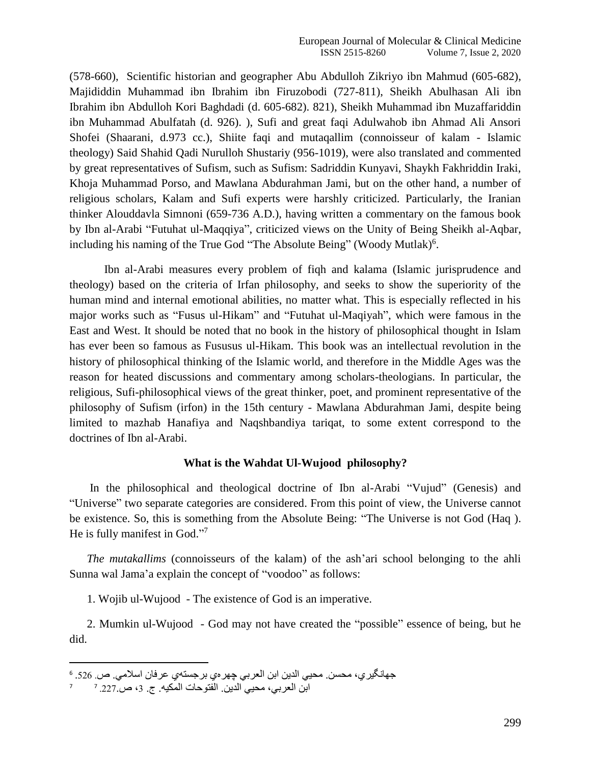(578-660), Scientific historian and geographer Abu Abdulloh Zikriyo ibn Mahmud (605-682), Majididdin Muhammad ibn Ibrahim ibn Firuzobodi (727-811), Sheikh Abulhasan Ali ibn Ibrahim ibn Abdulloh Kori Baghdadi (d. 605-682). 821), Sheikh Muhammad ibn Muzaffariddin ibn Muhammad Abulfatah (d. 926). ), Sufi and great faqi Adulwahob ibn Ahmad Ali Ansori Shofei (Shaarani, d.973 cc.), Shiite faqi and mutaqallim (connoisseur of kalam - Islamic theology) Said Shahid Qadi Nurulloh Shustariy (956-1019), were also translated and commented by great representatives of Sufism, such as Sufism: Sadriddin Kunyavi, Shaykh Fakhriddin Iraki, Khoja Muhammad Porso, and Mawlana Abdurahman Jami, but on the other hand, a number of religious scholars, Kalam and Sufi experts were harshly criticized. Particularly, the Iranian thinker Alouddavla Simnoni (659-736 A.D.), having written a commentary on the famous book by Ibn al-Arabi "Futuhat ul-Maqqiya", criticized views on the Unity of Being Sheikh al-Aqbar, including his naming of the True God "The Absolute Being" (Woody Mutlak)<sup>6</sup>.

Ibn al-Arabi measures every problem of fiqh and kalama (Islamic jurisprudence and theology) based on the criteria of Irfan philosophy, and seeks to show the superiority of the human mind and internal emotional abilities, no matter what. This is especially reflected in his major works such as "Fusus ul-Hikam" and "Futuhat ul-Maqiyah", which were famous in the East and West. It should be noted that no book in the history of philosophical thought in Islam has ever been so famous as Fususus ul-Hikam. This book was an intellectual revolution in the history of philosophical thinking of the Islamic world, and therefore in the Middle Ages was the reason for heated discussions and commentary among scholars-theologians. In particular, the religious, Sufi-philosophical views of the great thinker, poet, and prominent representative of the philosophy of Sufism (irfon) in the 15th century - Mawlana Abdurahman Jami, despite being limited to mazhab Hanafiya and Naqshbandiya tariqat, to some extent correspond to the doctrines of Ibn al-Arabi.

## **What is the Wahdat Ul-Wujood philosophy?**

 In the philosophical and theological doctrine of Ibn al-Arabi "Vujud" (Genesis) and "Universe" two separate categories are considered. From this point of view, the Universe cannot be existence. So, this is something from the Absolute Being: "The Universe is not God (Haq ). He is fully manifest in God."7

 *The mutakallims* (connoisseurs of the kalam) of the ash'ari school belonging to the ahli Sunna wal Jama'a explain the concept of "voodoo" as follows:

1. Wojib ul-Wujood - The existence of God is an imperative.

 2. Mumkin ul-Wujood - God may not have created the "possible" essence of being, but he did.

l

جهانگير ي، محسن. محيي الدين ابن العربي چهر مي بر جستهي عرفان اسلامي. ص. 526. 6

<sup>7</sup> ابن العربي، محيي الدين. الفتوحات المكيه. ج. 3، ص.227. 7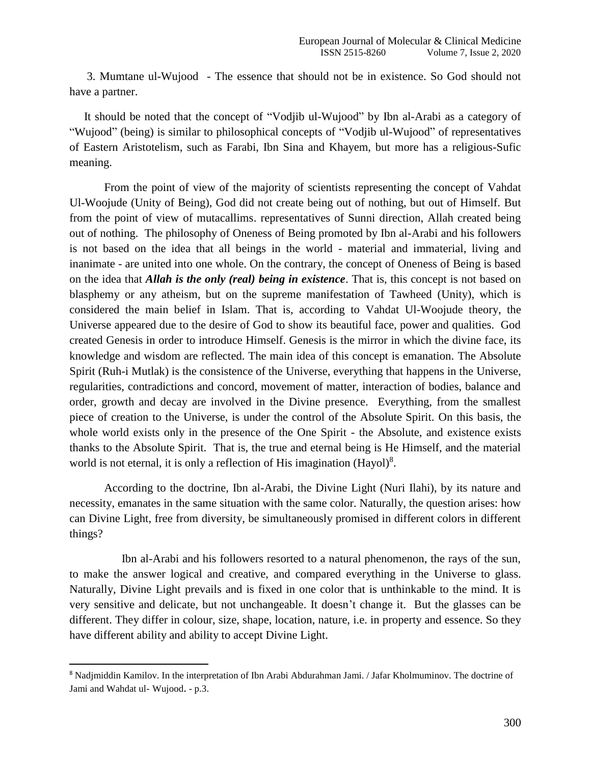3. Mumtane ul-Wujood - The essence that should not be in existence. So God should not have a partner.

 It should be noted that the concept of "Vodjib ul-Wujood" by Ibn al-Arabi as a category of "Wujood" (being) is similar to philosophical concepts of "Vodjib ul-Wujood" of representatives of Eastern Aristotelism, such as Farabi, Ibn Sina and Khayem, but more has a religious-Sufic meaning.

From the point of view of the majority of scientists representing the concept of Vahdat Ul-Woojude (Unity of Being), God did not create being out of nothing, but out of Himself. But from the point of view of mutacallims. representatives of Sunni direction, Allah created being out of nothing. The philosophy of Oneness of Being promoted by Ibn al-Arabi and his followers is not based on the idea that all beings in the world - material and immaterial, living and inanimate - are united into one whole. On the contrary, the concept of Oneness of Being is based on the idea that *Allah is the only (real) being in existence*. That is, this concept is not based on blasphemy or any atheism, but on the supreme manifestation of Tawheed (Unity), which is considered the main belief in Islam. That is, according to Vahdat Ul-Woojude theory, the Universe appeared due to the desire of God to show its beautiful face, power and qualities. God created Genesis in order to introduce Himself. Genesis is the mirror in which the divine face, its knowledge and wisdom are reflected. The main idea of this concept is emanation. The Absolute Spirit (Ruh-i Mutlak) is the consistence of the Universe, everything that happens in the Universe, regularities, contradictions and concord, movement of matter, interaction of bodies, balance and order, growth and decay are involved in the Divine presence. Everything, from the smallest piece of creation to the Universe, is under the control of the Absolute Spirit. On this basis, the whole world exists only in the presence of the One Spirit - the Absolute, and existence exists thanks to the Absolute Spirit. That is, the true and eternal being is He Himself, and the material world is not eternal, it is only a reflection of His imagination  $(Hayol)^8$ .

According to the doctrine, Ibn al-Arabi, the Divine Light (Nuri Ilahi), by its nature and necessity, emanates in the same situation with the same color. Naturally, the question arises: how can Divine Light, free from diversity, be simultaneously promised in different colors in different things?

 Ibn al-Arabi and his followers resorted to a natural phenomenon, the rays of the sun, to make the answer logical and creative, and compared everything in the Universe to glass. Naturally, Divine Light prevails and is fixed in one color that is unthinkable to the mind. It is very sensitive and delicate, but not unchangeable. It doesn't change it. But the glasses can be different. They differ in colour, size, shape, location, nature, i.e. in property and essence. So they have different ability and ability to accept Divine Light.

<sup>8</sup> Nadjmiddin Kamilov. In the interpretation of Ibn Arabi Abdurahman Jami. / Jafar Kholmuminov. The doctrine of Jami and Wahdat ul- Wujood. - p.3.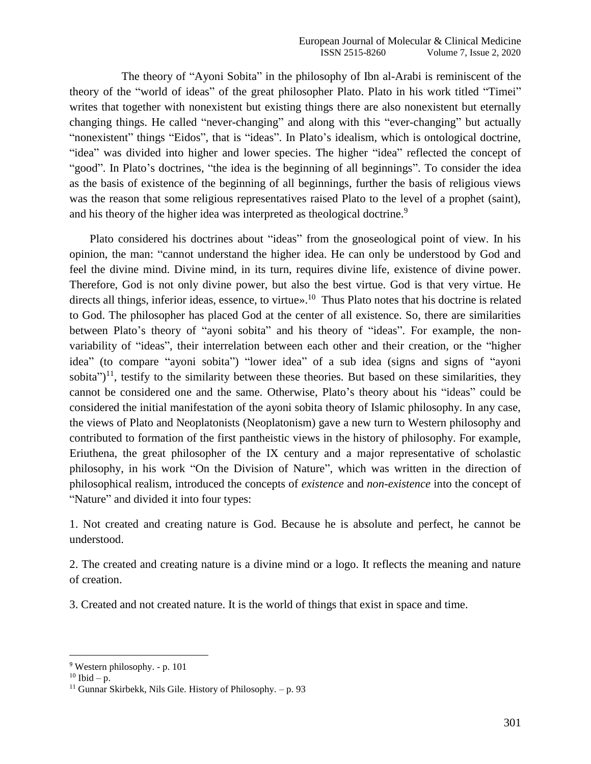The theory of "Ayoni Sobita" in the philosophy of Ibn al-Arabi is reminiscent of the theory of the "world of ideas" of the great philosopher Plato. Plato in his work titled "Timei" writes that together with nonexistent but existing things there are also nonexistent but eternally changing things. He called "never-changing" and along with this "ever-changing" but actually "nonexistent" things "Eidos", that is "ideas". In Plato's idealism, which is ontological doctrine, "idea" was divided into higher and lower species. The higher "idea" reflected the concept of "good". In Plato's doctrines, "the idea is the beginning of all beginnings". To consider the idea as the basis of existence of the beginning of all beginnings, further the basis of religious views was the reason that some religious representatives raised Plato to the level of a prophet (saint), and his theory of the higher idea was interpreted as theological doctrine.<sup>9</sup>

 Plato considered his doctrines about "ideas" from the gnoseological point of view. In his opinion, the man: "cannot understand the higher idea. He can only be understood by God and feel the divine mind. Divine mind, in its turn, requires divine life, existence of divine power. Therefore, God is not only divine power, but also the best virtue. God is that very virtue. He directs all things, inferior ideas, essence, to virtue».<sup>10</sup> Thus Plato notes that his doctrine is related to God. The philosopher has placed God at the center of all existence. So, there are similarities between Plato's theory of "ayoni sobita" and his theory of "ideas". For example, the nonvariability of "ideas", their interrelation between each other and their creation, or the "higher idea" (to compare "ayoni sobita") "lower idea" of a sub idea (signs and signs of "ayoni sobita") $<sup>11</sup>$ , testify to the similarity between these theories. But based on these similarities, they</sup> cannot be considered one and the same. Otherwise, Plato's theory about his "ideas" could be considered the initial manifestation of the ayoni sobita theory of Islamic philosophy. In any case, the views of Plato and Neoplatonists (Neoplatonism) gave a new turn to Western philosophy and contributed to formation of the first pantheistic views in the history of philosophy. For example, Eriuthena, the great philosopher of the IX century and a major representative of scholastic philosophy, in his work "On the Division of Nature", which was written in the direction of philosophical realism, introduced the concepts of *existence* and *non-existence* into the concept of "Nature" and divided it into four types:

1. Not created and creating nature is God. Because he is absolute and perfect, he cannot be understood.

2. The created and creating nature is a divine mind or a logo. It reflects the meaning and nature of creation.

3. Created and not created nature. It is the world of things that exist in space and time.

<sup>9</sup> Western philosophy. - p. 101

 $10$  Ibid – p.

<sup>&</sup>lt;sup>11</sup> Gunnar Skirbekk, Nils Gile. History of Philosophy.  $- p. 93$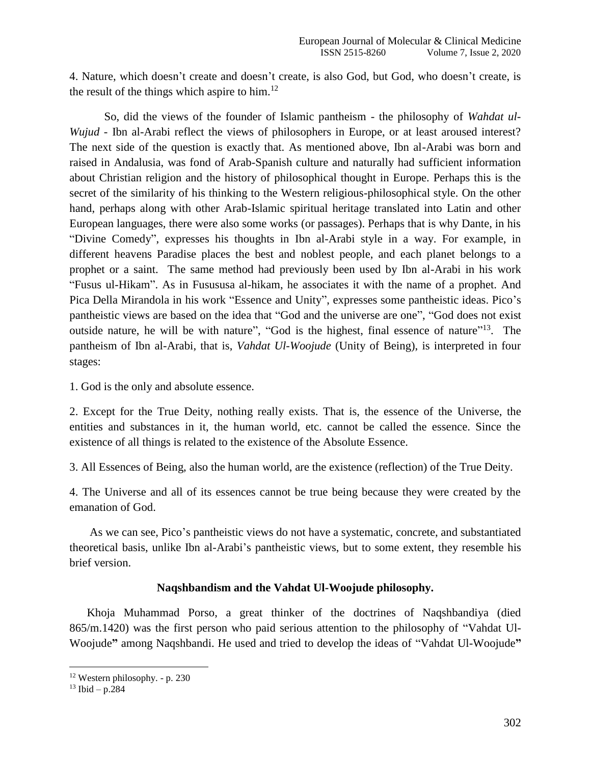4. Nature, which doesn't create and doesn't create, is also God, but God, who doesn't create, is the result of the things which aspire to him.<sup>12</sup>

So, did the views of the founder of Islamic pantheism - the philosophy of *Wahdat ul-Wujud* - Ibn al-Arabi reflect the views of philosophers in Europe, or at least aroused interest? The next side of the question is exactly that. As mentioned above, Ibn al-Arabi was born and raised in Andalusia, was fond of Arab-Spanish culture and naturally had sufficient information about Christian religion and the history of philosophical thought in Europe. Perhaps this is the secret of the similarity of his thinking to the Western religious-philosophical style. On the other hand, perhaps along with other Arab-Islamic spiritual heritage translated into Latin and other European languages, there were also some works (or passages). Perhaps that is why Dante, in his "Divine Comedy", expresses his thoughts in Ibn al-Arabi style in a way. For example, in different heavens Paradise places the best and noblest people, and each planet belongs to a prophet or a saint. The same method had previously been used by Ibn al-Arabi in his work "Fusus ul-Hikam". As in Fusususa al-hikam, he associates it with the name of a prophet. And Pica Della Mirandola in his work "Essence and Unity", expresses some pantheistic ideas. Pico's pantheistic views are based on the idea that "God and the universe are one", "God does not exist outside nature, he will be with nature", "God is the highest, final essence of nature"<sup>13</sup>. The pantheism of Ibn al-Arabi, that is, *Vahdat Ul-Woojude* (Unity of Being), is interpreted in four stages:

1. God is the only and absolute essence.

2. Except for the True Deity, nothing really exists. That is, the essence of the Universe, the entities and substances in it, the human world, etc. cannot be called the essence. Since the existence of all things is related to the existence of the Absolute Essence.

3. All Essences of Being, also the human world, are the existence (reflection) of the True Deity.

4. The Universe and all of its essences cannot be true being because they were created by the emanation of God.

 As we can see, Pico's pantheistic views do not have a systematic, concrete, and substantiated theoretical basis, unlike Ibn al-Arabi's pantheistic views, but to some extent, they resemble his brief version.

## **Naqshbandism and the Vahdat Ul-Woojude philosophy.**

 Khoja Muhammad Porso, a great thinker of the doctrines of Naqshbandiya (died 865/m.1420) was the first person who paid serious attention to the philosophy of "Vahdat Ul-Woojude**"** among Naqshbandi. He used and tried to develop the ideas of "Vahdat Ul-Woojude**"**

<sup>12</sup> Western philosophy. - p. 230

<sup>13</sup> Ibid – p.284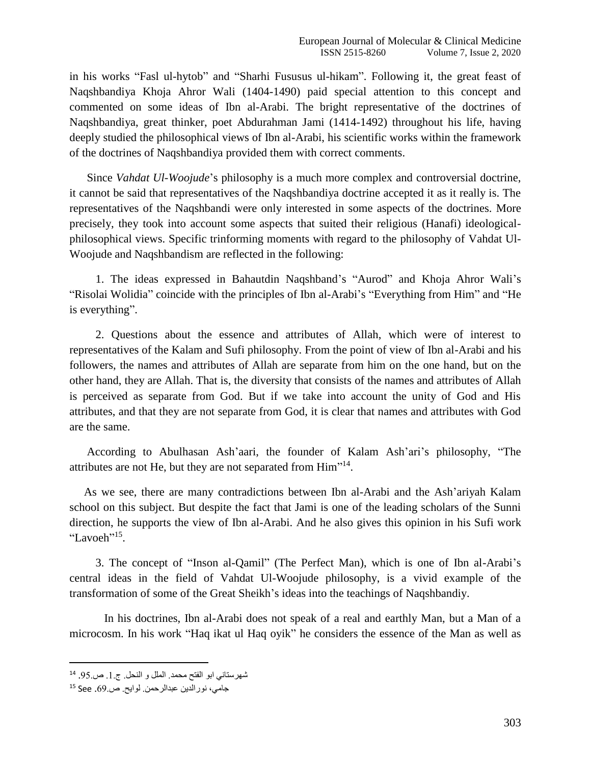in his works "Fasl ul-hytob" and "Sharhi Fususus ul-hikam". Following it, the great feast of Naqshbandiya Khoja Ahror Wali (1404-1490) paid special attention to this concept and commented on some ideas of Ibn al-Arabi. The bright representative of the doctrines of Naqshbandiya, great thinker, poet Abdurahman Jami (1414-1492) throughout his life, having deeply studied the philosophical views of Ibn al-Arabi, his scientific works within the framework of the doctrines of Naqshbandiya provided them with correct comments.

 Since *Vahdat Ul-Woojude*'s philosophy is a much more complex and controversial doctrine, it cannot be said that representatives of the Naqshbandiya doctrine accepted it as it really is. The representatives of the Naqshbandi were only interested in some aspects of the doctrines. More precisely, they took into account some aspects that suited their religious (Hanafi) ideologicalphilosophical views. Specific trinforming moments with regard to the philosophy of Vahdat Ul-Woojude and Naqshbandism are reflected in the following:

 1. The ideas expressed in Bahautdin Naqshband's "Aurod" and Khoja Ahror Wali's "Risolai Wolidia" coincide with the principles of Ibn al-Arabi's "Everything from Him" and "He is everything".

 2. Questions about the essence and attributes of Allah, which were of interest to representatives of the Kalam and Sufi philosophy. From the point of view of Ibn al-Arabi and his followers, the names and attributes of Allah are separate from him on the one hand, but on the other hand, they are Allah. That is, the diversity that consists of the names and attributes of Allah is perceived as separate from God. But if we take into account the unity of God and His attributes, and that they are not separate from God, it is clear that names and attributes with God are the same.

 According to Abulhasan Ash'aari, the founder of Kalam Ash'ari's philosophy, "The attributes are not He, but they are not separated from Him"<sup>14</sup>.

 As we see, there are many contradictions between Ibn al-Arabi and the Ash'ariyah Kalam school on this subject. But despite the fact that Jami is one of the leading scholars of the Sunni direction, he supports the view of Ibn al-Arabi. And he also gives this opinion in his Sufi work "Lavoeh"<sup>15</sup>.

 3. The concept of "Inson al-Qamil" (The Perfect Man), which is one of Ibn al-Arabi's central ideas in the field of Vahdat Ul-Woojude philosophy, is a vivid example of the transformation of some of the Great Sheikh's ideas into the teachings of Naqshbandiy.

In his doctrines, Ibn al-Arabi does not speak of a real and earthly Man, but a Man of a microcosm. In his work "Haq ikat ul Haq oyik" he considers the essence of the Man as well as

l

<sup>14</sup> شهرستاني ابو الفتح محمد. الملل و النحل. ج.1. ص.56.

جامي، نورالدین عبدالرحمن. لوایح. ص.55. See <sup>15</sup>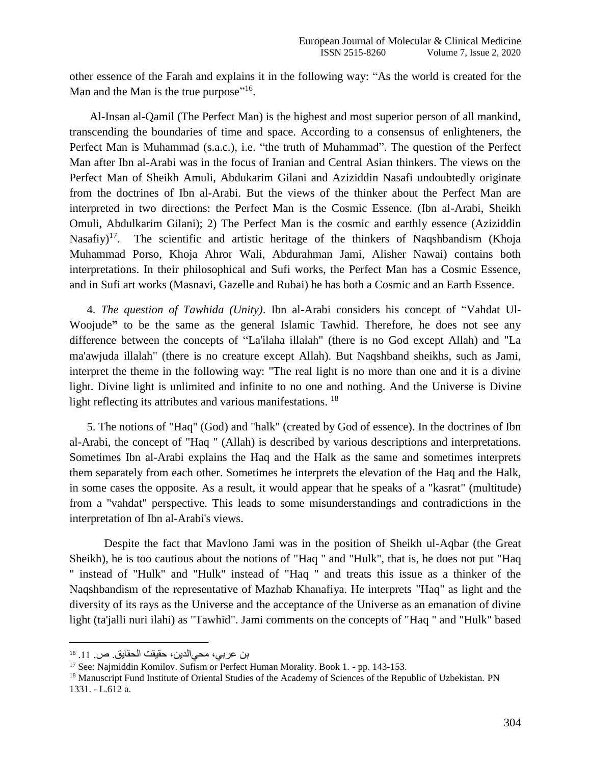other essence of the Farah and explains it in the following way: "As the world is created for the Man and the Man is the true purpose"<sup>16</sup>.

 Al-Insan al-Qamil (The Perfect Man) is the highest and most superior person of all mankind, transcending the boundaries of time and space. According to a consensus of enlighteners, the Perfect Man is Muhammad (s.a.c.), i.e. "the truth of Muhammad". The question of the Perfect Man after Ibn al-Arabi was in the focus of Iranian and Central Asian thinkers. The views on the Perfect Man of Sheikh Amuli, Abdukarim Gilani and Aziziddin Nasafi undoubtedly originate from the doctrines of Ibn al-Arabi. But the views of the thinker about the Perfect Man are interpreted in two directions: the Perfect Man is the Cosmic Essence. (Ibn al-Arabi, Sheikh Omuli, Abdulkarim Gilani); 2) The Perfect Man is the cosmic and earthly essence (Aziziddin Nasafiy)<sup>17</sup>. The scientific and artistic heritage of the thinkers of Naqshbandism (Khoja Muhammad Porso, Khoja Ahror Wali, Abdurahman Jami, Alisher Nawai) contains both interpretations. In their philosophical and Sufi works, the Perfect Man has a Cosmic Essence, and in Sufi art works (Masnavi, Gazelle and Rubai) he has both a Cosmic and an Earth Essence.

 4. *The question of Tawhida (Unity)*. Ibn al-Arabi considers his concept of "Vahdat Ul-Woojude**"** to be the same as the general Islamic Tawhid. Therefore, he does not see any difference between the concepts of "La'ilaha illalah" (there is no God except Allah) and "La ma'awjuda illalah" (there is no creature except Allah). But Naqshband sheikhs, such as Jami, interpret the theme in the following way: "The real light is no more than one and it is a divine light. Divine light is unlimited and infinite to no one and nothing. And the Universe is Divine light reflecting its attributes and various manifestations. <sup>18</sup>

 5. The notions of "Haq" (God) and "halk" (created by God of essence). In the doctrines of Ibn al-Arabi, the concept of "Haq " (Allah) is described by various descriptions and interpretations. Sometimes Ibn al-Arabi explains the Haq and the Halk as the same and sometimes interprets them separately from each other. Sometimes he interprets the elevation of the Haq and the Halk, in some cases the opposite. As a result, it would appear that he speaks of a "kasrat" (multitude) from a "vahdat" perspective. This leads to some misunderstandings and contradictions in the interpretation of Ibn al-Arabi's views.

Despite the fact that Mavlono Jami was in the position of Sheikh ul-Aqbar (the Great Sheikh), he is too cautious about the notions of "Haq " and "Hulk", that is, he does not put "Haq " instead of "Hulk" and "Hulk" instead of "Haq " and treats this issue as a thinker of the Naqshbandism of the representative of Mazhab Khanafiya. He interprets "Haq" as light and the diversity of its rays as the Universe and the acceptance of the Universe as an emanation of divine light (ta'jalli nuri ilahi) as "Tawhid". Jami comments on the concepts of "Haq " and "Hulk" based

l

<sup>16</sup> بن عربي، محيالدین، حقیقت الحقایق. ص. .11

<sup>&</sup>lt;sup>17</sup> See: Najmiddin Komilov. Sufism or Perfect Human Morality. Book 1. - pp. 143-153.

<sup>&</sup>lt;sup>18</sup> Manuscript Fund Institute of Oriental Studies of the Academy of Sciences of the Republic of Uzbekistan. PN 1331. - L.612 a.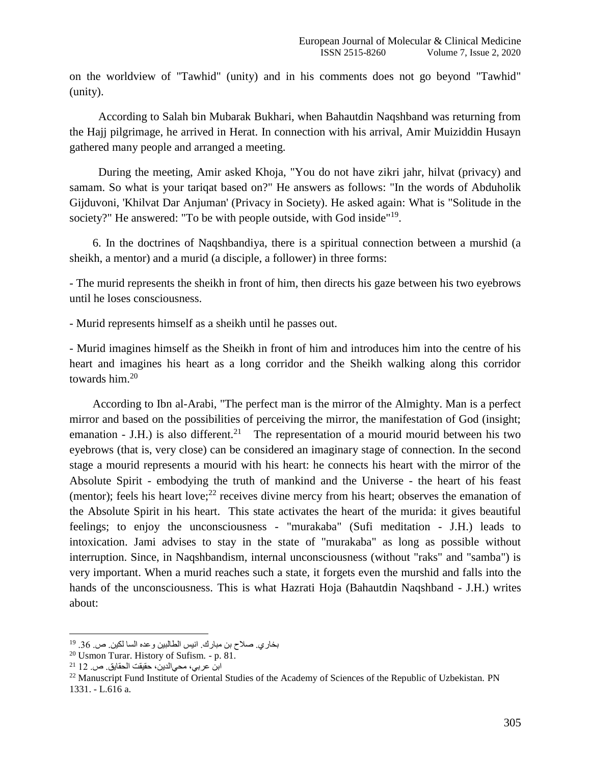on the worldview of "Tawhid" (unity) and in his comments does not go beyond "Tawhid" (unity).

 According to Salah bin Mubarak Bukhari, when Bahautdin Naqshband was returning from the Hajj pilgrimage, he arrived in Herat. In connection with his arrival, Amir Muiziddin Husayn gathered many people and arranged a meeting.

 During the meeting, Amir asked Khoja, "You do not have zikri jahr, hilvat (privacy) and samam. So what is your tariqat based on?" He answers as follows: "In the words of Abduholik Gijduvoni, 'Khilvat Dar Anjuman' (Privacy in Society). He asked again: What is "Solitude in the society?" He answered: "To be with people outside, with God inside"<sup>19</sup>.

 6. In the doctrines of Naqshbandiya, there is a spiritual connection between a murshid (a sheikh, a mentor) and a murid (a disciple, a follower) in three forms:

- The murid represents the sheikh in front of him, then directs his gaze between his two eyebrows until he loses consciousness.

- Murid represents himself as a sheikh until he passes out.

- Murid imagines himself as the Sheikh in front of him and introduces him into the centre of his heart and imagines his heart as a long corridor and the Sheikh walking along this corridor towards him.<sup>20</sup>

 According to Ibn al-Arabi, "The perfect man is the mirror of the Almighty. Man is a perfect mirror and based on the possibilities of perceiving the mirror, the manifestation of God (insight; emanation - J.H.) is also different.<sup>21</sup> The representation of a mourid mourid between his two eyebrows (that is, very close) can be considered an imaginary stage of connection. In the second stage a mourid represents a mourid with his heart: he connects his heart with the mirror of the Absolute Spirit - embodying the truth of mankind and the Universe - the heart of his feast (mentor); feels his heart love; $^{22}$  receives divine mercy from his heart; observes the emanation of the Absolute Spirit in his heart. This state activates the heart of the murida: it gives beautiful feelings; to enjoy the unconsciousness - "murakaba" (Sufi meditation - J.H.) leads to intoxication. Jami advises to stay in the state of "murakaba" as long as possible without interruption. Since, in Naqshbandism, internal unconsciousness (without "raks" and "samba") is very important. When a murid reaches such a state, it forgets even the murshid and falls into the hands of the unconsciousness. This is what Hazrati Hoja (Bahautdin Naqshband - J.H.) writes about:

 $\overline{a}$ 

بخاري<sub>.</sub> صلاح بن مبارك<sub>.</sub> انيس الطالبين وعده السا لكين<sub>.</sub> ص. 36. <sup>19</sup>

<sup>20</sup> Usmon Turar. History of Sufism. - p. 81.

ابن عربي، محيالدین، حقیقت الحقایق. ص. 12 <sup>21</sup>

<sup>&</sup>lt;sup>22</sup> Manuscript Fund Institute of Oriental Studies of the Academy of Sciences of the Republic of Uzbekistan. PN 1331. - L.616 a.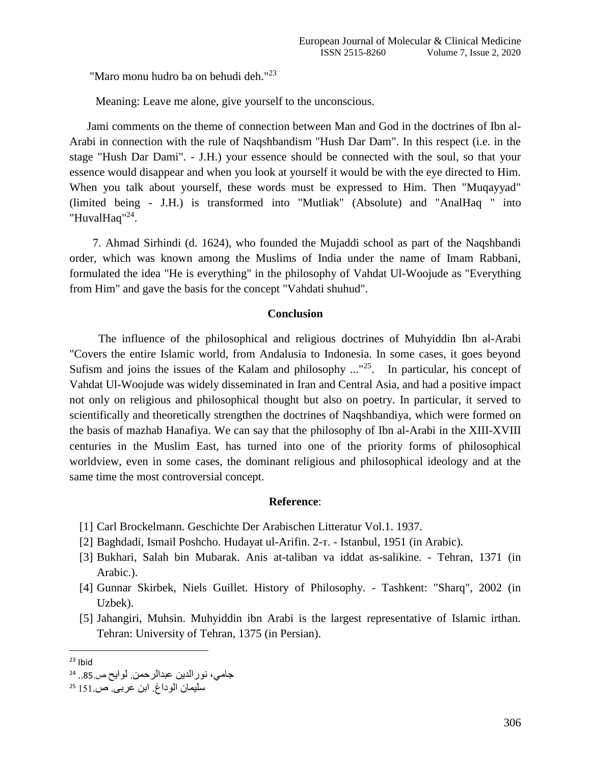"Maro monu hudro ba on behudi deh."<sup>23</sup>

Meaning: Leave me alone, give yourself to the unconscious.

 Jami comments on the theme of connection between Man and God in the doctrines of Ibn al-Arabi in connection with the rule of Naqshbandism "Hush Dar Dam". In this respect (i.e. in the stage "Hush Dar Dami". - J.H.) your essence should be connected with the soul, so that your essence would disappear and when you look at yourself it would be with the eye directed to Him. When you talk about yourself, these words must be expressed to Him. Then "Muqayyad" (limited being - J.H.) is transformed into "Mutliak" (Absolute) and "AnalHaq " into "HuvalHaq"<sup>24</sup>.

 7. Ahmad Sirhindi (d. 1624), who founded the Mujaddi school as part of the Naqshbandi order, which was known among the Muslims of India under the name of Imam Rabbani, formulated the idea "He is everything" in the philosophy of Vahdat Ul-Woojude as "Everything from Him" and gave the basis for the concept "Vahdati shuhud".

#### **Conclusion**

 The influence of the philosophical and religious doctrines of Muhyiddin Ibn al-Arabi "Covers the entire Islamic world, from Andalusia to Indonesia. In some cases, it goes beyond Sufism and joins the issues of the Kalam and philosophy  $\ldots$ <sup>25</sup>. In particular, his concept of Vahdat Ul-Woojude was widely disseminated in Iran and Central Asia, and had a positive impact not only on religious and philosophical thought but also on poetry. In particular, it served to scientifically and theoretically strengthen the doctrines of Naqshbandiya, which were formed on the basis of mazhab Hanafiya. We can say that the philosophy of Ibn al-Arabi in the XIII-XVIII centuries in the Muslim East, has turned into one of the priority forms of philosophical worldview, even in some cases, the dominant religious and philosophical ideology and at the same time the most controversial concept.

#### **Reference**:

- [1] Carl Brockelmann. Geschichte Der Arabischen Litteratur Vol.1. 1937.
- [2] Baghdadi, Ismail Poshcho. Hudayat ul-Arifin. 2-т. Istanbul, 1951 (in Arabic).
- [3] Bukhari, Salah bin Mubarak. Anis at-taliban va iddat as-salikine. Tehran, 1371 (in Arabic.).
- [4] Gunnar Skirbek, Niels Guillet. History of Philosophy. Tashkent: "Sharq", 2002 (in Uzbek).
- [5] Jahangiri, Muhsin. Muhyiddin ibn Arabi is the largest representative of Islamic irthan. Tehran: University of Tehran, 1375 (in Persian).

 $\overline{\phantom{a}}$  $23$  Ibid

<sup>24</sup> جامي، نورالدین عبدالرحمن. لوایح ص..58.

سلیمان الوداغ. ابن عربی. ص161. <sup>25</sup>